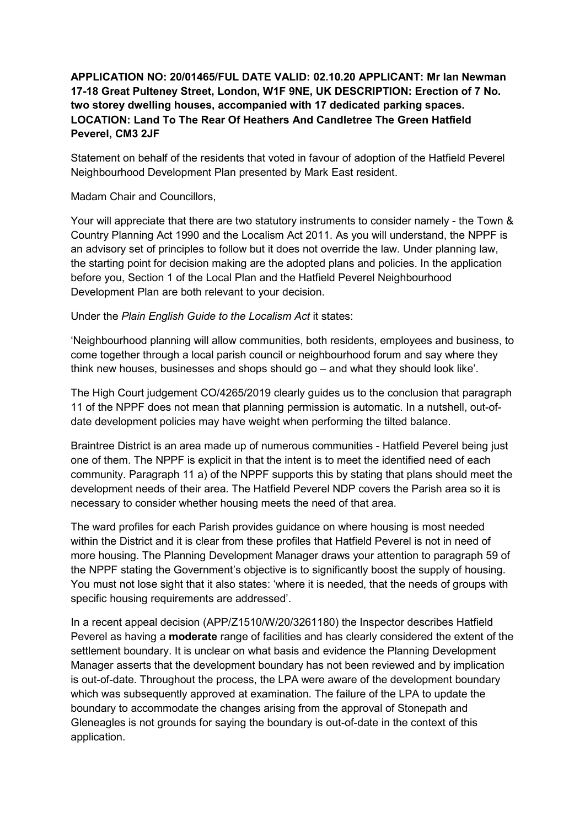## **APPLICATION NO: 20/01465/FUL DATE VALID: 02.10.20 APPLICANT: Mr Ian Newman 17-18 Great Pulteney Street, London, W1F 9NE, UK DESCRIPTION: Erection of 7 No. two storey dwelling houses, accompanied with 17 dedicated parking spaces. LOCATION: Land To The Rear Of Heathers And Candletree The Green Hatfield Peverel, CM3 2JF**

Statement on behalf of the residents that voted in favour of adoption of the Hatfield Peverel Neighbourhood Development Plan presented by Mark East resident.

## Madam Chair and Councillors,

Your will appreciate that there are two statutory instruments to consider namely - the Town & Country Planning Act 1990 and the Localism Act 2011. As you will understand, the NPPF is an advisory set of principles to follow but it does not override the law. Under planning law, the starting point for decision making are the adopted plans and policies. In the application before you, Section 1 of the Local Plan and the Hatfield Peverel Neighbourhood Development Plan are both relevant to your decision.

## Under the *Plain English Guide to the Localism Act* it states:

'Neighbourhood planning will allow communities, both residents, employees and business, to come together through a local parish council or neighbourhood forum and say where they think new houses, businesses and shops should go – and what they should look like'.

The High Court judgement CO/4265/2019 clearly guides us to the conclusion that paragraph 11 of the NPPF does not mean that planning permission is automatic. In a nutshell, out-ofdate development policies may have weight when performing the tilted balance.

Braintree District is an area made up of numerous communities - Hatfield Peverel being just one of them. The NPPF is explicit in that the intent is to meet the identified need of each community. Paragraph 11 a) of the NPPF supports this by stating that plans should meet the development needs of their area. The Hatfield Peverel NDP covers the Parish area so it is necessary to consider whether housing meets the need of that area.

The ward profiles for each Parish provides guidance on where housing is most needed within the District and it is clear from these profiles that Hatfield Peverel is not in need of more housing. The Planning Development Manager draws your attention to paragraph 59 of the NPPF stating the Government's objective is to significantly boost the supply of housing. You must not lose sight that it also states: 'where it is needed, that the needs of groups with specific housing requirements are addressed'.

In a recent appeal decision (APP/Z1510/W/20/3261180) the Inspector describes Hatfield Peverel as having a **moderate** range of facilities and has clearly considered the extent of the settlement boundary. It is unclear on what basis and evidence the Planning Development Manager asserts that the development boundary has not been reviewed and by implication is out-of-date. Throughout the process, the LPA were aware of the development boundary which was subsequently approved at examination. The failure of the LPA to update the boundary to accommodate the changes arising from the approval of Stonepath and Gleneagles is not grounds for saying the boundary is out-of-date in the context of this application.